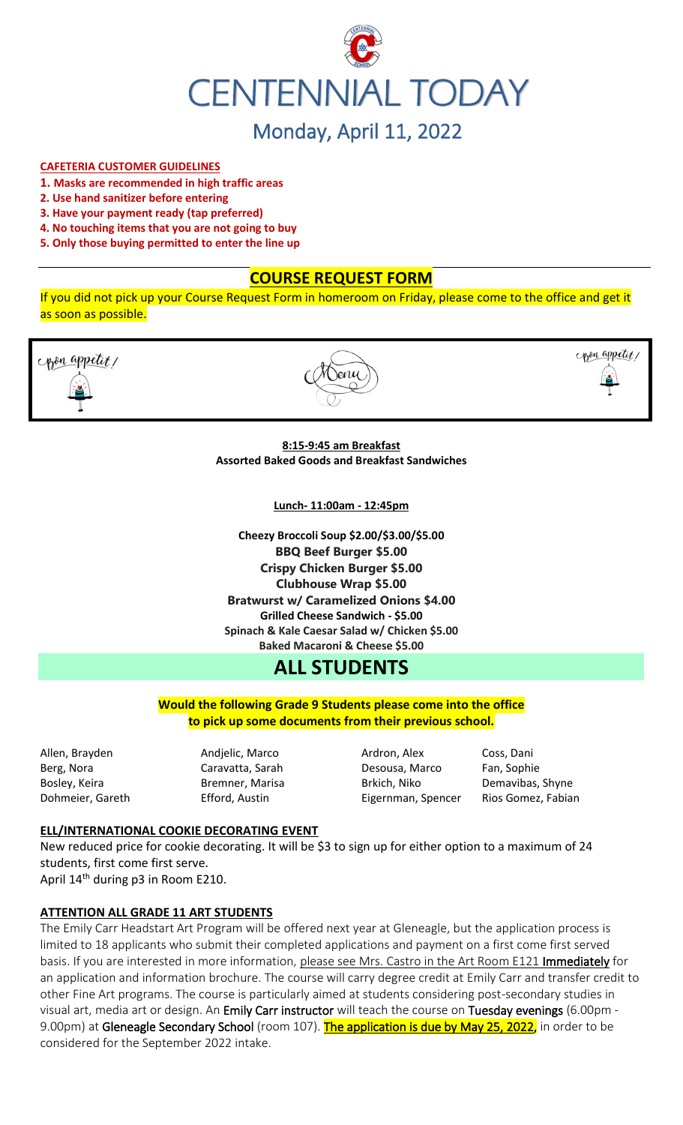

# Monday, April 11, 2022

#### **CAFETERIA CUSTOMER GUIDELINES**

- **1. Masks are recommended in high traffic areas**
- **2. Use hand sanitizer before entering**
- **3. Have your payment ready (tap preferred)**
- **4. No touching items that you are not going to buy**
- **5. Only those buying permitted to enter the line up**

# **COURSE REQUEST FORM**

If you did not pick up your Course Request Form in homeroom on Friday, please come to the office and get it as soon as possible.





**8:15-9:45 am Breakfast Assorted Baked Goods and Breakfast Sandwiches**

**Lunch- 11:00am - 12:45pm**

**Cheezy Broccoli Soup \$2.00/\$3.00/\$5.00 BBQ Beef Burger \$5.00 Crispy Chicken Burger \$5.00 Clubhouse Wrap \$5.00 Bratwurst w/ Caramelized Onions \$4.00 Grilled Cheese Sandwich - \$5.00 Spinach & Kale Caesar Salad w/ Chicken \$5.00 Baked Macaroni & Cheese \$5.00**

# **ALL STUDENTS**

**Would the following Grade 9 Students please come into the office to pick up some documents from their previous school.**

Allen, Brayden **Andjelic, Marco Ardron, Alex** Coss, Dani Berg, Nora Caravatta, Sarah Desousa, Marco Fan, Sophie Bosley, Keira **Bremner, Marisa** Brkich, Niko Demavibas, Shyne Dohmeier, Gareth Efford, Austin Eigernman, Spencer Rios Gomez, Fabian

copen appetit,

#### **ELL/INTERNATIONAL COOKIE DECORATING EVENT**

New reduced price for cookie decorating. It will be \$3 to sign up for either option to a maximum of 24 students, first come first serve.

April 14<sup>th</sup> during p3 in Room E210.

#### **ATTENTION ALL GRADE 11 ART STUDENTS**

The Emily Carr Headstart Art Program will be offered next year at Gleneagle, but the application process is limited to 18 applicants who submit their completed applications and payment on a first come first served basis. If you are interested in more information, please see Mrs. Castro in the Art Room E121 Immediately for an application and information brochure. The course will carry degree credit at Emily Carr and transfer credit to other Fine Art programs. The course is particularly aimed at students considering post-secondary studies in visual art, media art or design. An Emily Carr instructor will teach the course on Tuesday evenings (6.00pm -9.00pm) at Gleneagle Secondary School (room 107). The application is due by May 25, 2022, in order to be considered for the September 2022 intake.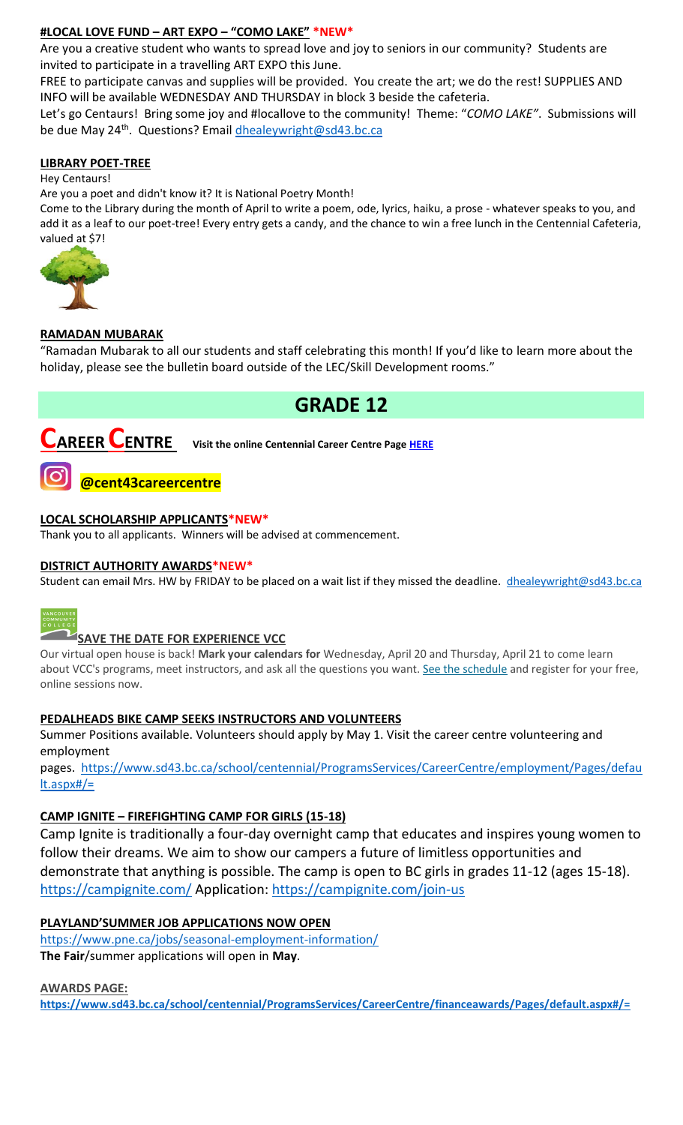# **#LOCAL LOVE FUND – ART EXPO – "COMO LAKE" \*NEW\***

Are you a creative student who wants to spread love and joy to seniors in our community? Students are invited to participate in a travelling ART EXPO this June.

FREE to participate canvas and supplies will be provided. You create the art; we do the rest! SUPPLIES AND INFO will be available WEDNESDAY AND THURSDAY in block 3 beside the cafeteria.

Let's go Centaurs! Bring some joy and #locallove to the community! Theme: "*COMO LAKE"*. Submissions will be due May 24<sup>th</sup>. Questions? Email **dhealeywright@sd43.bc.ca** 

#### **LIBRARY POET-TREE**

Hey Centaurs!

Are you a poet and didn't know it? It is National Poetry Month!

Come to the Library during the month of April to write a poem, ode, lyrics, haiku, a prose - whatever speaks to you, and add it as a leaf to our poet-tree! Every entry gets a candy, and the chance to win a free lunch in the Centennial Cafeteria, valued at \$7!



#### **RAMADAN MUBARAK**

"Ramadan Mubarak to all our students and staff celebrating this month! If you'd like to learn more about the holiday, please see the bulletin board outside of the LEC/Skill Development rooms."

# **GRADE 12**

**CAREER CENTRE Visit the online Centennial Career Centre Page [HERE](https://www.sd43.bc.ca/school/centennial/ProgramsServices/CareerCentre/experiences/Pages/default.aspx#/=)**



### **LOCAL SCHOLARSHIP APPLICANTS\*NEW\***

Thank you to all applicants. Winners will be advised at commencement.

### **DISTRICT AUTHORITY AWARDS\*NEW\***

Student can email Mrs. HW by FRIDAY to be placed on a wait list if they missed the deadline. [dhealeywright@sd43.bc.ca](mailto:dhealeywright@sd43.bc.ca)



# **SAVE THE DATE FOR EXPERIENCE VCC**

Our virtual open house is back! **Mark your calendars for** Wednesday, April 20 and Thursday, April 21 to come learn about VCC's programs, meet instructors, and ask all the questions you want. [See the schedule](https://vcc.us2.list-manage.com/track/click?u=265d8acc7aa162eb26eb78d5e&id=8da9ab4282&e=d1966a5f66) and register for your free, online sessions now.

### **PEDALHEADS BIKE CAMP SEEKS INSTRUCTORS AND VOLUNTEERS**

Summer Positions available. Volunteers should apply by May 1. Visit the career centre volunteering and employment

pages. [https://www.sd43.bc.ca/school/centennial/ProgramsServices/CareerCentre/employment/Pages/defau](https://www.sd43.bc.ca/school/centennial/ProgramsServices/CareerCentre/employment/Pages/default.aspx#/=) [lt.aspx#/=](https://www.sd43.bc.ca/school/centennial/ProgramsServices/CareerCentre/employment/Pages/default.aspx#/=)

### **CAMP IGNITE – FIREFIGHTING CAMP FOR GIRLS (15-18)**

Camp Ignite is traditionally a four-day overnight camp that educates and inspires young women to follow their dreams. We aim to show our campers a future of limitless opportunities and demonstrate that anything is possible. The camp is open to BC girls in grades 11-12 (ages 15-18). <https://campignite.com/> Application:<https://campignite.com/join-us>

### **PLAYLAND'SUMMER JOB APPLICATIONS NOW OPEN**

<https://www.pne.ca/jobs/seasonal-employment-information/> **The Fair**/summer applications will open in **May**.

**AWARDS PAGE:**

**<https://www.sd43.bc.ca/school/centennial/ProgramsServices/CareerCentre/financeawards/Pages/default.aspx#/=>**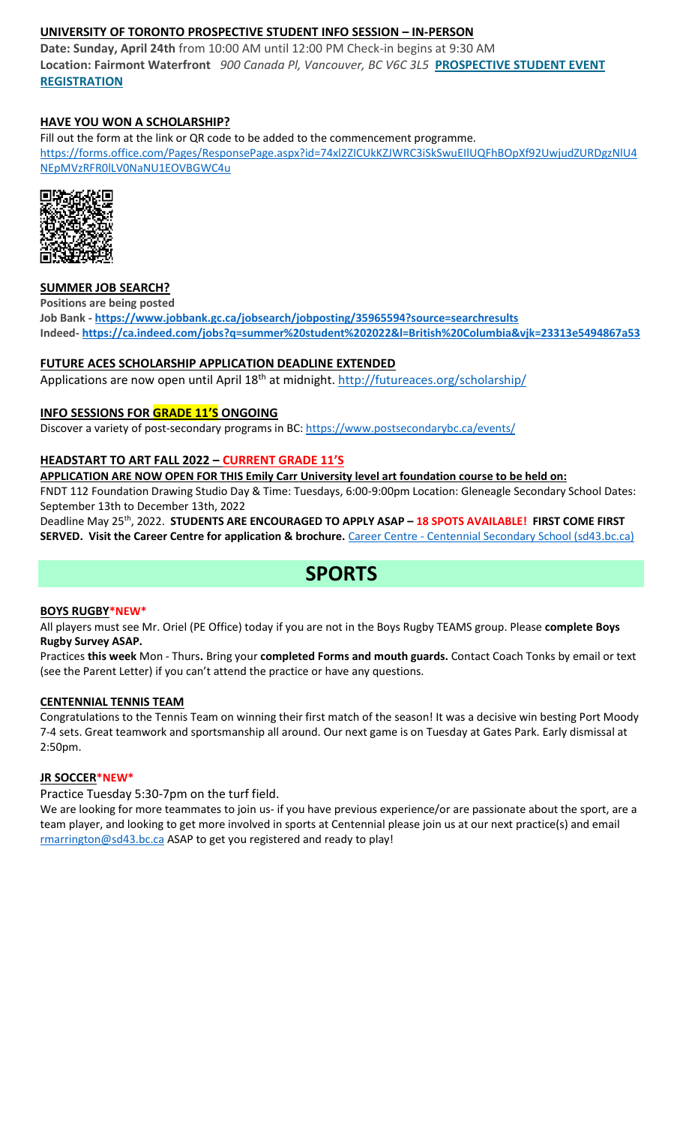# **UNIVERSITY OF TORONTO PROSPECTIVE STUDENT INFO SESSION – IN-PERSON**

**Date: Sunday, April 24th** from 10:00 AM until 12:00 PM Check-in begins at 9:30 AM **Location: Fairmont Waterfront** *900 Canada Pl, Vancouver, BC V6C 3L5* **[PROSPECTIVE STUDENT EVENT](https://mx.technolutions.net/ss/c/VpDhrCrvzjOrNk6AZ3TbHjFLbqWBZPhhofjteQ2YNx82CaUosH1dcVhwZYliQGg4fqoAmVG1Ka_8jV1ZqG7kHkEUUWMfwc8VPjIe6VXHcqaY02ME2QCvDFADSudDQ-wU/3kx/RvkltXeQS-KcXTsaf7PNeQ/h1/qokCettkLEwcVkww2NiO3af-alqvB1eOXLnFAgxLQVQ)  [REGISTRATION](https://mx.technolutions.net/ss/c/VpDhrCrvzjOrNk6AZ3TbHjFLbqWBZPhhofjteQ2YNx82CaUosH1dcVhwZYliQGg4fqoAmVG1Ka_8jV1ZqG7kHkEUUWMfwc8VPjIe6VXHcqaY02ME2QCvDFADSudDQ-wU/3kx/RvkltXeQS-KcXTsaf7PNeQ/h1/qokCettkLEwcVkww2NiO3af-alqvB1eOXLnFAgxLQVQ)**

# **HAVE YOU WON A SCHOLARSHIP?**

Fill out the form at the link or QR code to be added to the commencement programme. [https://forms.office.com/Pages/ResponsePage.aspx?id=74xl2ZICUkKZJWRC3iSkSwuEIlUQFhBOpXf92UwjudZURDgzNlU4](https://forms.office.com/Pages/ResponsePage.aspx?id=74xl2ZICUkKZJWRC3iSkSwuEIlUQFhBOpXf92UwjudZURDgzNlU4NEpMVzRFR0lLV0NaNU1EOVBGWC4u) [NEpMVzRFR0lLV0NaNU1EOVBGWC4u](https://forms.office.com/Pages/ResponsePage.aspx?id=74xl2ZICUkKZJWRC3iSkSwuEIlUQFhBOpXf92UwjudZURDgzNlU4NEpMVzRFR0lLV0NaNU1EOVBGWC4u)



### **SUMMER JOB SEARCH?**

**Positions are being posted Job Bank - <https://www.jobbank.gc.ca/jobsearch/jobposting/35965594?source=searchresults> Indeed- <https://ca.indeed.com/jobs?q=summer%20student%202022&l=British%20Columbia&vjk=23313e5494867a53>**

## **FUTURE ACES SCHOLARSHIP APPLICATION DEADLINE EXTENDED**

Applications are now open until April 18<sup>th</sup> at midnight.<http://futureaces.org/scholarship/>

## **INFO SESSIONS FOR GRADE 11'S ONGOING**

Discover a variety of post-secondary programs in BC:<https://www.postsecondarybc.ca/events/>

### **HEADSTART TO ART FALL 2022 – CURRENT GRADE 11'S**

**APPLICATION ARE NOW OPEN FOR THIS Emily Carr University level art foundation course to be held on:**

FNDT 112 Foundation Drawing Studio Day & Time: Tuesdays, 6:00-9:00pm Location: Gleneagle Secondary School Dates: September 13th to December 13th, 2022

Deadline May 25th, 2022. **STUDENTS ARE ENCOURAGED TO APPLY ASAP – 18 SPOTS AVAILABLE! FIRST COME FIRST SERVED. Visit the Career Centre for application & brochure.** Career Centre - [Centennial Secondary School \(sd43.bc.ca\)](https://www.sd43.bc.ca/school/centennial/ProgramsServices/CareerCentre/postsecondary/Pages/default.aspx#/=)

# **SPORTS**

### **BOYS RUGBY\*NEW\***

All players must see Mr. Oriel (PE Office) today if you are not in the Boys Rugby TEAMS group. Please **complete Boys Rugby Survey ASAP.**

Practices **this week** Mon - Thurs**.** Bring your **completed Forms and mouth guards.** Contact Coach Tonks by email or text (see the Parent Letter) if you can't attend the practice or have any questions.

### **CENTENNIAL TENNIS TEAM**

Congratulations to the Tennis Team on winning their first match of the season! It was a decisive win besting Port Moody 7-4 sets. Great teamwork and sportsmanship all around. Our next game is on Tuesday at Gates Park. Early dismissal at 2:50pm.

### **JR SOCCER\*NEW\***

### Practice Tuesday 5:30-7pm on the turf field.

We are looking for more teammates to join us- if you have previous experience/or are passionate about the sport, are a team player, and looking to get more involved in sports at Centennial please join us at our next practice(s) and email [rmarrington@sd43.bc.ca](mailto:rmarrington@sd43.bc.ca) ASAP to get you registered and ready to play!